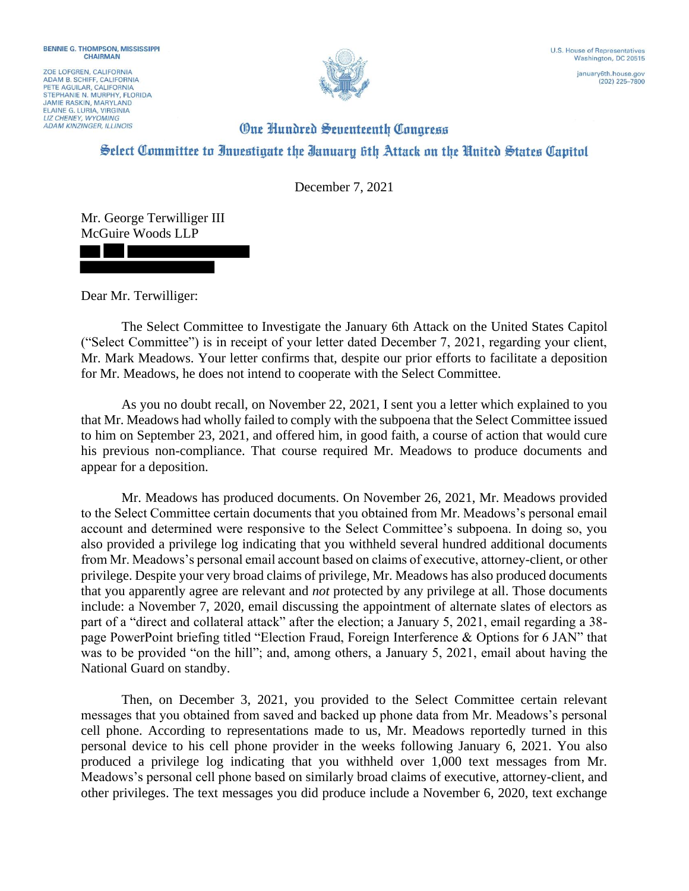ZOE LOFGREN, CALIFORNIA ADAM B. SCHIFF, CALIFORNIA<br>PETE AGUILAR, CALIFORNIA STEPHANIE N. MURPHY, FLORIDA **JAMIE RASKIN, MARYLAND** ELAINE G. LURIA, VIRGINIA **LIZ CHENEY WYOMING ADAM KINZINGER, ILLINOIS** 



## **One Hundred Seventeenth Congress** Select Committee to Investigate the Ianuary 6th Attack on the United States Capitol

December 7, 2021

Mr. George Terwilliger III McGuire Woods LLP

Dear Mr. Terwilliger:

The Select Committee to Investigate the January 6th Attack on the United States Capitol ("Select Committee") is in receipt of your letter dated December 7, 2021, regarding your client, Mr. Mark Meadows. Your letter confirms that, despite our prior efforts to facilitate a deposition for Mr. Meadows, he does not intend to cooperate with the Select Committee.

As you no doubt recall, on November 22, 2021, I sent you a letter which explained to you that Mr. Meadows had wholly failed to comply with the subpoena that the Select Committee issued to him on September 23, 2021, and offered him, in good faith, a course of action that would cure his previous non-compliance. That course required Mr. Meadows to produce documents and appear for a deposition.

Mr. Meadows has produced documents. On November 26, 2021, Mr. Meadows provided to the Select Committee certain documents that you obtained from Mr. Meadows's personal email account and determined were responsive to the Select Committee's subpoena. In doing so, you also provided a privilege log indicating that you withheld several hundred additional documents from Mr. Meadows's personal email account based on claims of executive, attorney-client, or other privilege. Despite your very broad claims of privilege, Mr. Meadows has also produced documents that you apparently agree are relevant and *not* protected by any privilege at all. Those documents include: a November 7, 2020, email discussing the appointment of alternate slates of electors as part of a "direct and collateral attack" after the election; a January 5, 2021, email regarding a 38 page PowerPoint briefing titled "Election Fraud, Foreign Interference & Options for 6 JAN" that was to be provided "on the hill"; and, among others, a January 5, 2021, email about having the National Guard on standby.

Then, on December 3, 2021, you provided to the Select Committee certain relevant messages that you obtained from saved and backed up phone data from Mr. Meadows's personal cell phone. According to representations made to us, Mr. Meadows reportedly turned in this personal device to his cell phone provider in the weeks following January 6, 2021. You also produced a privilege log indicating that you withheld over 1,000 text messages from Mr. Meadows's personal cell phone based on similarly broad claims of executive, attorney-client, and other privileges. The text messages you did produce include a November 6, 2020, text exchange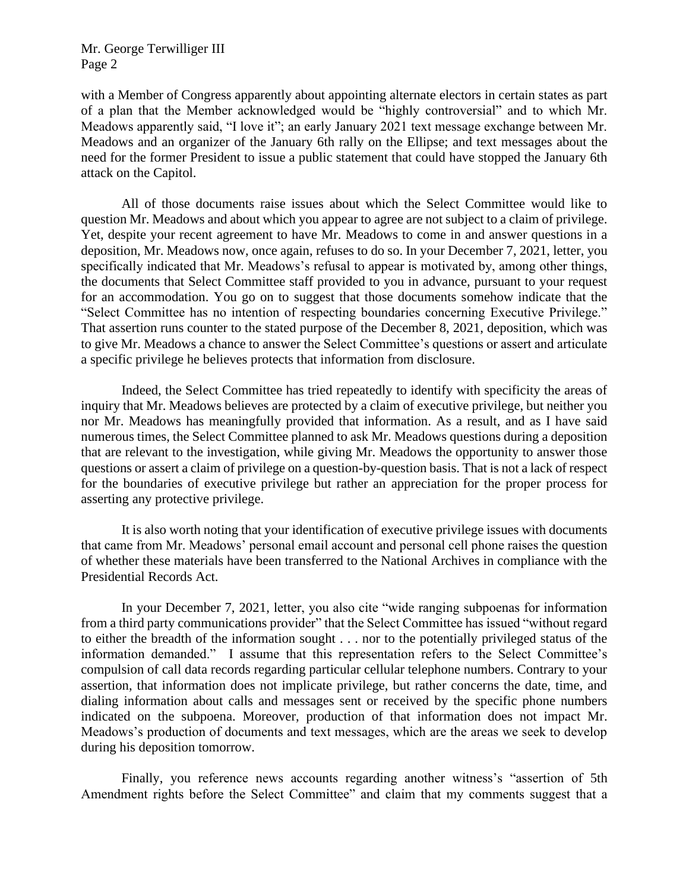with a Member of Congress apparently about appointing alternate electors in certain states as part of a plan that the Member acknowledged would be "highly controversial" and to which Mr. Meadows apparently said, "I love it"; an early January 2021 text message exchange between Mr. Meadows and an organizer of the January 6th rally on the Ellipse; and text messages about the need for the former President to issue a public statement that could have stopped the January 6th attack on the Capitol.

All of those documents raise issues about which the Select Committee would like to question Mr. Meadows and about which you appear to agree are not subject to a claim of privilege. Yet, despite your recent agreement to have Mr. Meadows to come in and answer questions in a deposition, Mr. Meadows now, once again, refuses to do so. In your December 7, 2021, letter, you specifically indicated that Mr. Meadows's refusal to appear is motivated by, among other things, the documents that Select Committee staff provided to you in advance, pursuant to your request for an accommodation. You go on to suggest that those documents somehow indicate that the "Select Committee has no intention of respecting boundaries concerning Executive Privilege." That assertion runs counter to the stated purpose of the December 8, 2021, deposition, which was to give Mr. Meadows a chance to answer the Select Committee's questions or assert and articulate a specific privilege he believes protects that information from disclosure.

Indeed, the Select Committee has tried repeatedly to identify with specificity the areas of inquiry that Mr. Meadows believes are protected by a claim of executive privilege, but neither you nor Mr. Meadows has meaningfully provided that information. As a result, and as I have said numerous times, the Select Committee planned to ask Mr. Meadows questions during a deposition that are relevant to the investigation, while giving Mr. Meadows the opportunity to answer those questions or assert a claim of privilege on a question-by-question basis. That is not a lack of respect for the boundaries of executive privilege but rather an appreciation for the proper process for asserting any protective privilege.

It is also worth noting that your identification of executive privilege issues with documents that came from Mr. Meadows' personal email account and personal cell phone raises the question of whether these materials have been transferred to the National Archives in compliance with the Presidential Records Act.

In your December 7, 2021, letter, you also cite "wide ranging subpoenas for information from a third party communications provider" that the Select Committee has issued "without regard to either the breadth of the information sought . . . nor to the potentially privileged status of the information demanded." I assume that this representation refers to the Select Committee's compulsion of call data records regarding particular cellular telephone numbers. Contrary to your assertion, that information does not implicate privilege, but rather concerns the date, time, and dialing information about calls and messages sent or received by the specific phone numbers indicated on the subpoena. Moreover, production of that information does not impact Mr. Meadows's production of documents and text messages, which are the areas we seek to develop during his deposition tomorrow.

Finally, you reference news accounts regarding another witness's "assertion of 5th Amendment rights before the Select Committee" and claim that my comments suggest that a